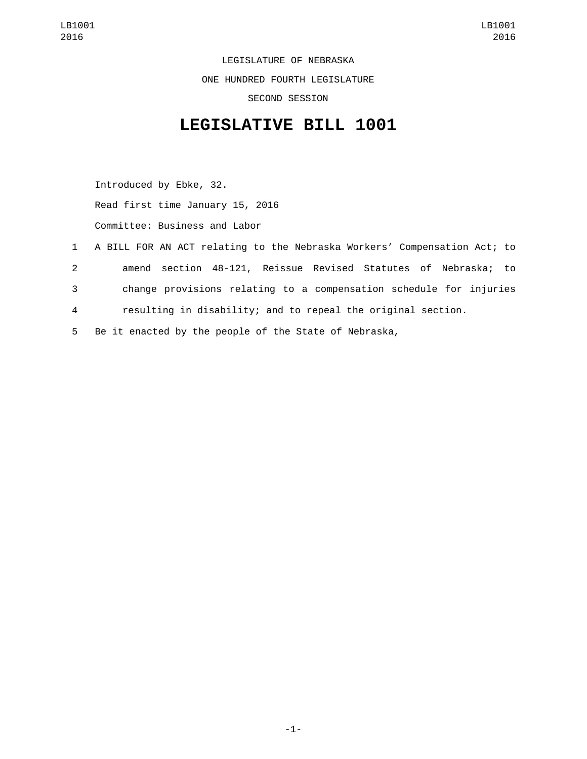LEGISLATURE OF NEBRASKA ONE HUNDRED FOURTH LEGISLATURE SECOND SESSION

## **LEGISLATIVE BILL 1001**

Introduced by Ebke, 32. Read first time January 15, 2016 Committee: Business and Labor

 A BILL FOR AN ACT relating to the Nebraska Workers' Compensation Act; to amend section 48-121, Reissue Revised Statutes of Nebraska; to change provisions relating to a compensation schedule for injuries resulting in disability; and to repeal the original section. Be it enacted by the people of the State of Nebraska,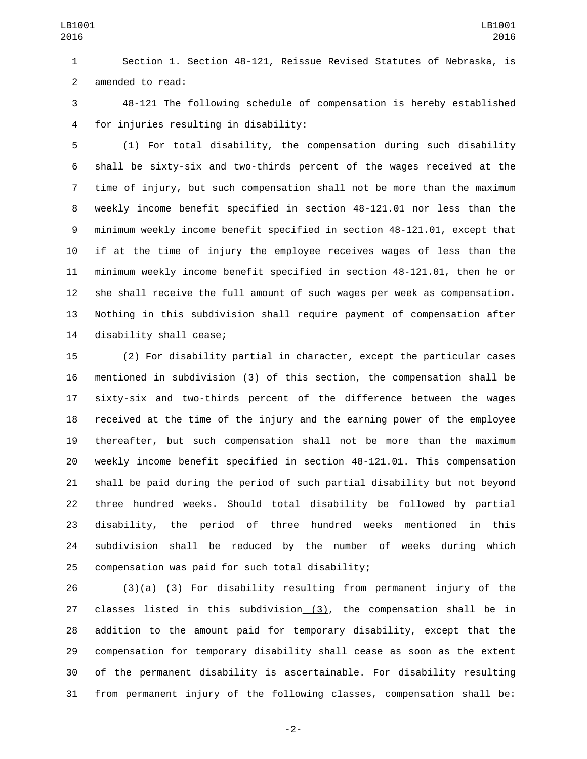Section 1. Section 48-121, Reissue Revised Statutes of Nebraska, is 2 amended to read:

 48-121 The following schedule of compensation is hereby established for injuries resulting in disability:4

 (1) For total disability, the compensation during such disability shall be sixty-six and two-thirds percent of the wages received at the time of injury, but such compensation shall not be more than the maximum weekly income benefit specified in section 48-121.01 nor less than the minimum weekly income benefit specified in section 48-121.01, except that if at the time of injury the employee receives wages of less than the minimum weekly income benefit specified in section 48-121.01, then he or she shall receive the full amount of such wages per week as compensation. Nothing in this subdivision shall require payment of compensation after 14 disability shall cease;

 (2) For disability partial in character, except the particular cases mentioned in subdivision (3) of this section, the compensation shall be sixty-six and two-thirds percent of the difference between the wages received at the time of the injury and the earning power of the employee thereafter, but such compensation shall not be more than the maximum weekly income benefit specified in section 48-121.01. This compensation shall be paid during the period of such partial disability but not beyond three hundred weeks. Should total disability be followed by partial disability, the period of three hundred weeks mentioned in this subdivision shall be reduced by the number of weeks during which 25 compensation was paid for such total disability;

26 (3)(a)  $\left(43\right)$  For disability resulting from permanent injury of the 27 classes listed in this subdivision  $(3)$ , the compensation shall be in addition to the amount paid for temporary disability, except that the compensation for temporary disability shall cease as soon as the extent of the permanent disability is ascertainable. For disability resulting from permanent injury of the following classes, compensation shall be:

-2-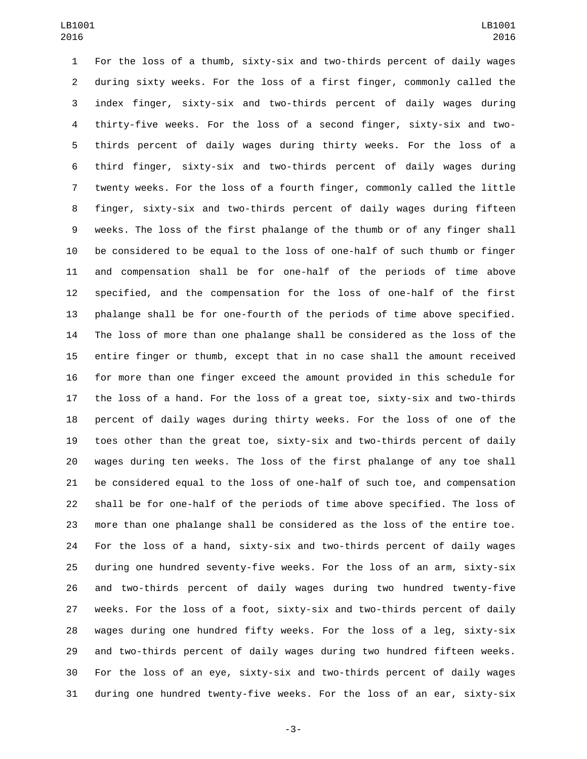For the loss of a thumb, sixty-six and two-thirds percent of daily wages during sixty weeks. For the loss of a first finger, commonly called the index finger, sixty-six and two-thirds percent of daily wages during thirty-five weeks. For the loss of a second finger, sixty-six and two- thirds percent of daily wages during thirty weeks. For the loss of a third finger, sixty-six and two-thirds percent of daily wages during twenty weeks. For the loss of a fourth finger, commonly called the little finger, sixty-six and two-thirds percent of daily wages during fifteen weeks. The loss of the first phalange of the thumb or of any finger shall be considered to be equal to the loss of one-half of such thumb or finger and compensation shall be for one-half of the periods of time above specified, and the compensation for the loss of one-half of the first phalange shall be for one-fourth of the periods of time above specified. The loss of more than one phalange shall be considered as the loss of the entire finger or thumb, except that in no case shall the amount received for more than one finger exceed the amount provided in this schedule for the loss of a hand. For the loss of a great toe, sixty-six and two-thirds percent of daily wages during thirty weeks. For the loss of one of the toes other than the great toe, sixty-six and two-thirds percent of daily wages during ten weeks. The loss of the first phalange of any toe shall be considered equal to the loss of one-half of such toe, and compensation shall be for one-half of the periods of time above specified. The loss of more than one phalange shall be considered as the loss of the entire toe. For the loss of a hand, sixty-six and two-thirds percent of daily wages during one hundred seventy-five weeks. For the loss of an arm, sixty-six and two-thirds percent of daily wages during two hundred twenty-five weeks. For the loss of a foot, sixty-six and two-thirds percent of daily wages during one hundred fifty weeks. For the loss of a leg, sixty-six and two-thirds percent of daily wages during two hundred fifteen weeks. For the loss of an eye, sixty-six and two-thirds percent of daily wages during one hundred twenty-five weeks. For the loss of an ear, sixty-six

-3-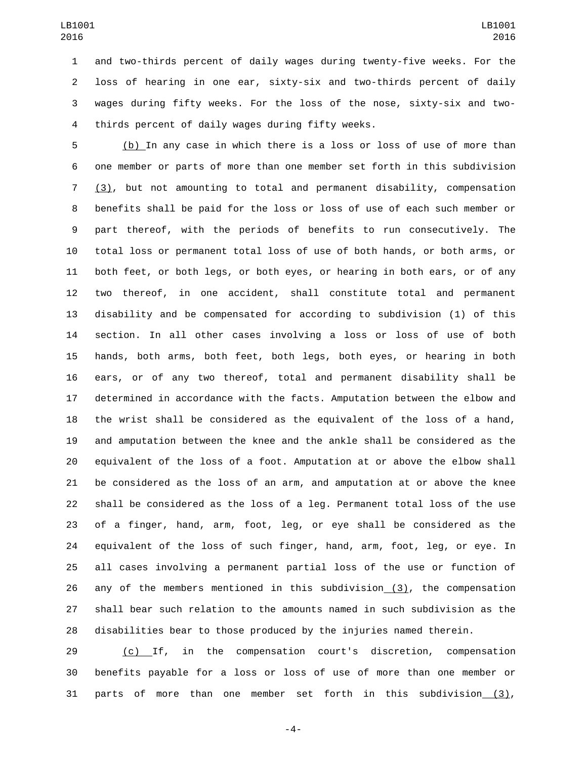and two-thirds percent of daily wages during twenty-five weeks. For the loss of hearing in one ear, sixty-six and two-thirds percent of daily wages during fifty weeks. For the loss of the nose, sixty-six and two-4 thirds percent of daily wages during fifty weeks.

 (b) In any case in which there is a loss or loss of use of more than one member or parts of more than one member set forth in this subdivision (3), but not amounting to total and permanent disability, compensation benefits shall be paid for the loss or loss of use of each such member or part thereof, with the periods of benefits to run consecutively. The total loss or permanent total loss of use of both hands, or both arms, or both feet, or both legs, or both eyes, or hearing in both ears, or of any two thereof, in one accident, shall constitute total and permanent disability and be compensated for according to subdivision (1) of this section. In all other cases involving a loss or loss of use of both hands, both arms, both feet, both legs, both eyes, or hearing in both ears, or of any two thereof, total and permanent disability shall be determined in accordance with the facts. Amputation between the elbow and the wrist shall be considered as the equivalent of the loss of a hand, and amputation between the knee and the ankle shall be considered as the equivalent of the loss of a foot. Amputation at or above the elbow shall be considered as the loss of an arm, and amputation at or above the knee shall be considered as the loss of a leg. Permanent total loss of the use of a finger, hand, arm, foot, leg, or eye shall be considered as the equivalent of the loss of such finger, hand, arm, foot, leg, or eye. In all cases involving a permanent partial loss of the use or function of any of the members mentioned in this subdivision (3), the compensation shall bear such relation to the amounts named in such subdivision as the disabilities bear to those produced by the injuries named therein.

 (c) If, in the compensation court's discretion, compensation benefits payable for a loss or loss of use of more than one member or parts of more than one member set forth in this subdivision (3),

-4-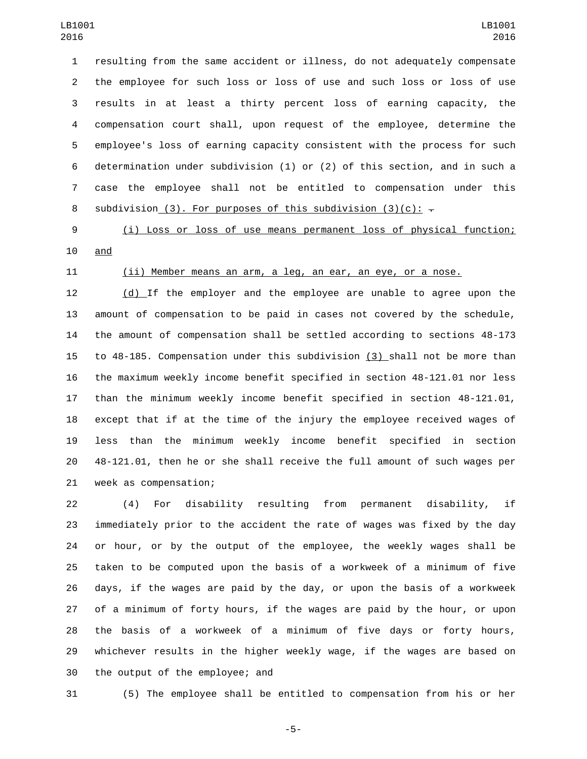resulting from the same accident or illness, do not adequately compensate the employee for such loss or loss of use and such loss or loss of use results in at least a thirty percent loss of earning capacity, the compensation court shall, upon request of the employee, determine the employee's loss of earning capacity consistent with the process for such determination under subdivision (1) or (2) of this section, and in such a case the employee shall not be entitled to compensation under this 8 subdivision (3). For purposes of this subdivision (3)(c):  $\overline{z}$ 

 (i) Loss or loss of use means permanent loss of physical function; 10 and

## (ii) Member means an arm, a leg, an ear, an eye, or a nose.

 (d) If the employer and the employee are unable to agree upon the amount of compensation to be paid in cases not covered by the schedule, the amount of compensation shall be settled according to sections 48-173 to 48-185. Compensation under this subdivision (3) shall not be more than the maximum weekly income benefit specified in section 48-121.01 nor less than the minimum weekly income benefit specified in section 48-121.01, except that if at the time of the injury the employee received wages of less than the minimum weekly income benefit specified in section 48-121.01, then he or she shall receive the full amount of such wages per 21 week as compensation;

 (4) For disability resulting from permanent disability, if immediately prior to the accident the rate of wages was fixed by the day or hour, or by the output of the employee, the weekly wages shall be taken to be computed upon the basis of a workweek of a minimum of five days, if the wages are paid by the day, or upon the basis of a workweek of a minimum of forty hours, if the wages are paid by the hour, or upon the basis of a workweek of a minimum of five days or forty hours, whichever results in the higher weekly wage, if the wages are based on 30 the output of the employee; and

(5) The employee shall be entitled to compensation from his or her

-5-